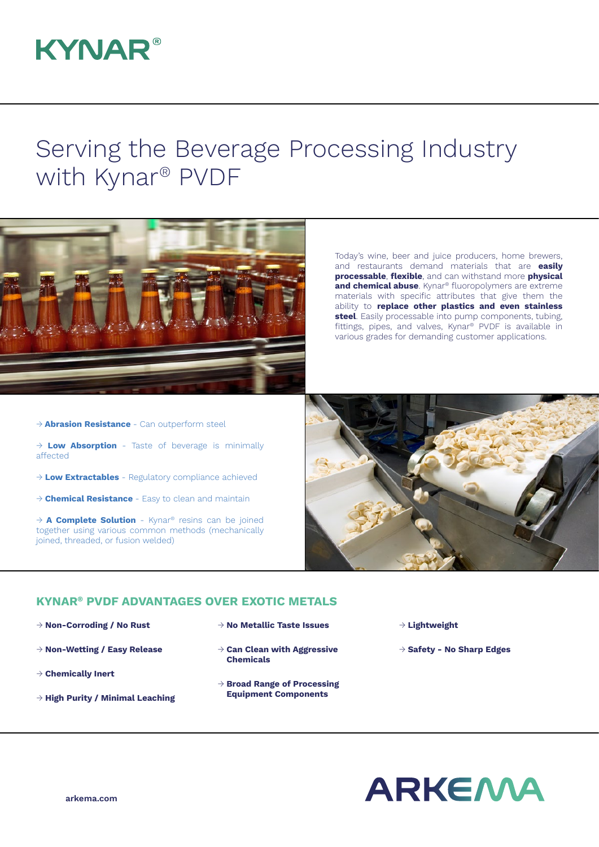## **KYNAR®**

## Serving the Beverage Processing Industry with Kynar® PVDF



Today's wine, beer and juice producers, home brewers, and restaurants demand materials that are **easily processable**, **flexible**, and can withstand more **physical and chemical abuse**. Kynar<sup>®</sup> fluoropolymers are extreme materials with specific attributes that give them the ability to **replace other plastics and even stainless steel**. Easily processable into pump components, tubing, fittings, pipes, and valves, Kynar® PVDF is available in various grades for demanding customer applications.

- → **Abrasion Resistance**  Can outperform steel
- → **Low Absorption**  Taste of beverage is minimally affected
- → **Low Extractables** Regulatory compliance achieved
- → **Chemical Resistance**  Easy to clean and maintain

→ **A Complete Solution** - Kynar® resins can be joined together using various common methods (mechanically joined, threaded, or fusion welded)



## **KYNAR® PVDF ADVANTAGES OVER EXOTIC METALS**

- → **Non-Corroding / No Rust**
- → **Non-Wetting / Easy Release**
- → **Chemically Inert**
- → **High Purity / Minimal Leaching**
- → **No Metallic Taste Issues**
- → **Can Clean with Aggressive Chemicals**
- → **Broad Range of Processing Equipment Components**
- → **Lightweight**
- → **Safety No Sharp Edges**